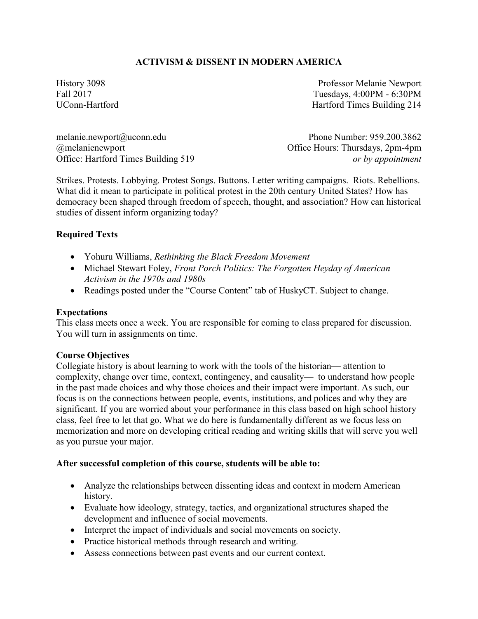# **ACTIVISM & DISSENT IN MODERN AMERICA**

History 3098 Fall 2017 UConn-Hartford

Professor Melanie Newport Tuesdays, 4:00PM - 6:30PM Hartford Times Building 214

| melanie.newport@uconn.edu           | Phone Number: 959.200.3862       |
|-------------------------------------|----------------------------------|
| @melanienewport                     | Office Hours: Thursdays, 2pm-4pm |
| Office: Hartford Times Building 519 | or by appointment                |

Strikes. Protests. Lobbying. Protest Songs. Buttons. Letter writing campaigns. Riots. Rebellions. What did it mean to participate in political protest in the 20th century United States? How has democracy been shaped through freedom of speech, thought, and association? How can historical studies of dissent inform organizing today?

# **Required Texts**

- Yohuru Williams, *Rethinking the Black Freedom Movement*
- Michael Stewart Foley, *Front Porch Politics: The Forgotten Heyday of American Activism in the 1970s and 1980s*
- Readings posted under the "Course Content" tab of HuskyCT. Subject to change.

#### **Expectations**

This class meets once a week. You are responsible for coming to class prepared for discussion. You will turn in assignments on time.

#### **Course Objectives**

Collegiate history is about learning to work with the tools of the historian— attention to complexity, change over time, context, contingency, and causality— to understand how people in the past made choices and why those choices and their impact were important. As such, our focus is on the connections between people, events, institutions, and polices and why they are significant. If you are worried about your performance in this class based on high school history class, feel free to let that go. What we do here is fundamentally different as we focus less on memorization and more on developing critical reading and writing skills that will serve you well as you pursue your major.

#### **After successful completion of this course, students will be able to:**

- Analyze the relationships between dissenting ideas and context in modern American history.
- Evaluate how ideology, strategy, tactics, and organizational structures shaped the development and influence of social movements.
- Interpret the impact of individuals and social movements on society.
- Practice historical methods through research and writing.
- Assess connections between past events and our current context.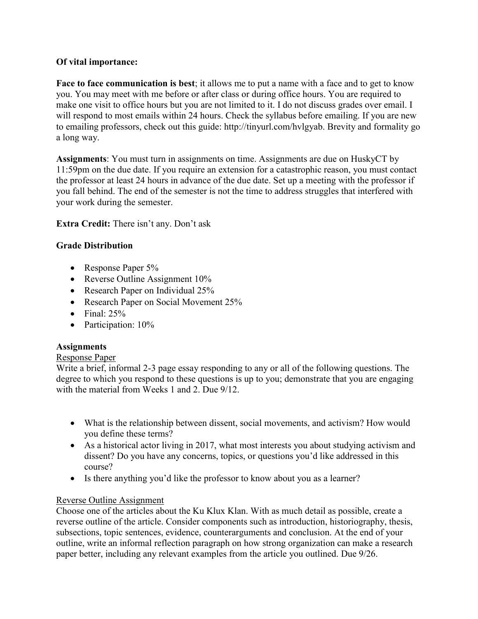# **Of vital importance:**

**Face to face communication is best**; it allows me to put a name with a face and to get to know you. You may meet with me before or after class or during office hours. You are required to make one visit to office hours but you are not limited to it. I do not discuss grades over email. I will respond to most emails within 24 hours. Check the syllabus before emailing. If you are new to emailing professors, check out this guide: http://tinyurl.com/hvlgyab. Brevity and formality go a long way.

**Assignments**: You must turn in assignments on time. Assignments are due on HuskyCT by 11:59pm on the due date. If you require an extension for a catastrophic reason, you must contact the professor at least 24 hours in advance of the due date. Set up a meeting with the professor if you fall behind. The end of the semester is not the time to address struggles that interfered with your work during the semester.

**Extra Credit:** There isn't any. Don't ask

# **Grade Distribution**

- Response Paper 5%
- Reverse Outline Assignment 10%
- Research Paper on Individual 25%
- Research Paper on Social Movement 25%
- $\bullet$  Final: 25%
- Participation: 10%

# **Assignments**

# Response Paper

Write a brief, informal 2-3 page essay responding to any or all of the following questions. The degree to which you respond to these questions is up to you; demonstrate that you are engaging with the material from Weeks 1 and 2. Due  $9/12$ .

- What is the relationship between dissent, social movements, and activism? How would you define these terms?
- As a historical actor living in 2017, what most interests you about studying activism and dissent? Do you have any concerns, topics, or questions you'd like addressed in this course?
- Is there anything you'd like the professor to know about you as a learner?

# Reverse Outline Assignment

Choose one of the articles about the Ku Klux Klan. With as much detail as possible, create a reverse outline of the article. Consider components such as introduction, historiography, thesis, subsections, topic sentences, evidence, counterarguments and conclusion. At the end of your outline, write an informal reflection paragraph on how strong organization can make a research paper better, including any relevant examples from the article you outlined. Due 9/26.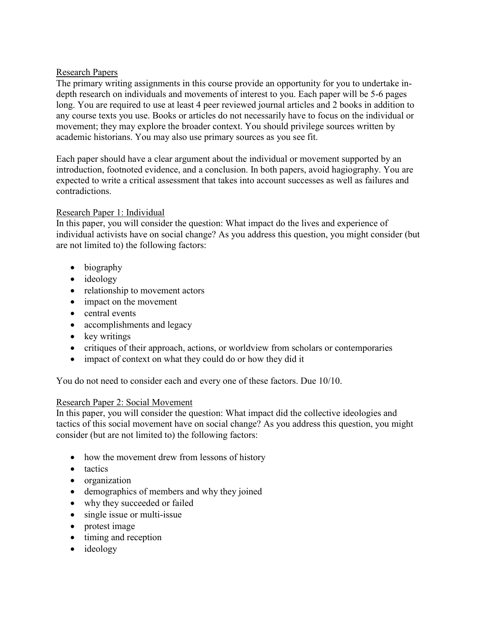# Research Papers

The primary writing assignments in this course provide an opportunity for you to undertake indepth research on individuals and movements of interest to you. Each paper will be 5-6 pages long. You are required to use at least 4 peer reviewed journal articles and 2 books in addition to any course texts you use. Books or articles do not necessarily have to focus on the individual or movement; they may explore the broader context. You should privilege sources written by academic historians. You may also use primary sources as you see fit.

Each paper should have a clear argument about the individual or movement supported by an introduction, footnoted evidence, and a conclusion. In both papers, avoid hagiography. You are expected to write a critical assessment that takes into account successes as well as failures and contradictions.

### Research Paper 1: Individual

In this paper, you will consider the question: What impact do the lives and experience of individual activists have on social change? As you address this question, you might consider (but are not limited to) the following factors:

- biography
- ideology
- relationship to movement actors
- impact on the movement
- central events
- accomplishments and legacy
- key writings
- critiques of their approach, actions, or worldview from scholars or contemporaries
- impact of context on what they could do or how they did it

You do not need to consider each and every one of these factors. Due 10/10.

#### Research Paper 2: Social Movement

In this paper, you will consider the question: What impact did the collective ideologies and tactics of this social movement have on social change? As you address this question, you might consider (but are not limited to) the following factors:

- how the movement drew from lessons of history
- tactics
- organization
- demographics of members and why they joined
- why they succeeded or failed
- single issue or multi-issue
- protest image
- timing and reception
- ideology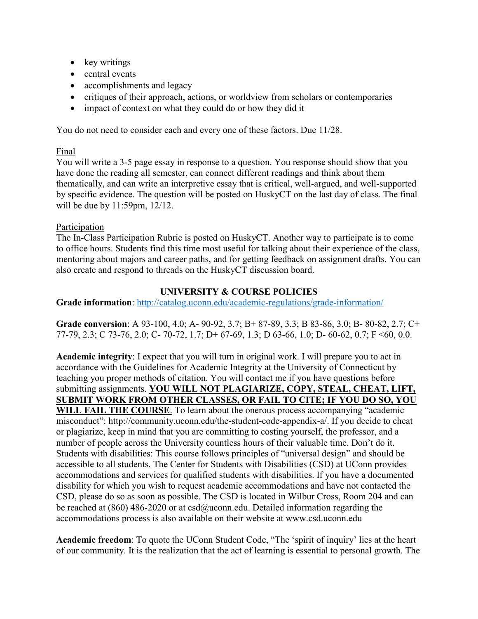- key writings
- central events
- accomplishments and legacy
- critiques of their approach, actions, or worldview from scholars or contemporaries
- impact of context on what they could do or how they did it

You do not need to consider each and every one of these factors. Due 11/28.

# Final

You will write a 3-5 page essay in response to a question. You response should show that you have done the reading all semester, can connect different readings and think about them thematically, and can write an interpretive essay that is critical, well-argued, and well-supported by specific evidence. The question will be posted on HuskyCT on the last day of class. The final will be due by 11:59pm, 12/12.

### Participation

The In-Class Participation Rubric is posted on HuskyCT. Another way to participate is to come to office hours. Students find this time most useful for talking about their experience of the class, mentoring about majors and career paths, and for getting feedback on assignment drafts. You can also create and respond to threads on the HuskyCT discussion board.

# **UNIVERSITY & COURSE POLICIES**

**Grade information**:<http://catalog.uconn.edu/academic-regulations/grade-information/>

**Grade conversion**: A 93-100, 4.0; A- 90-92, 3.7; B+ 87-89, 3.3; B 83-86, 3.0; B- 80-82, 2.7; C+ 77-79, 2.3; C 73-76, 2.0; C- 70-72, 1.7; D+ 67-69, 1.3; D 63-66, 1.0; D- 60-62, 0.7; F <60, 0.0.

**Academic integrity**: I expect that you will turn in original work. I will prepare you to act in accordance with the Guidelines for Academic Integrity at the University of Connecticut by teaching you proper methods of citation. You will contact me if you have questions before submitting assignments. **YOU WILL NOT PLAGIARIZE, COPY, STEAL, CHEAT, LIFT, SUBMIT WORK FROM OTHER CLASSES, OR FAIL TO CITE; IF YOU DO SO, YOU WILL FAIL THE COURSE**. To learn about the onerous process accompanying "academic misconduct": http://community.uconn.edu/the-student-code-appendix-a/. If you decide to cheat or plagiarize, keep in mind that you are committing to costing yourself, the professor, and a number of people across the University countless hours of their valuable time. Don't do it. Students with disabilities: This course follows principles of "universal design" and should be accessible to all students. The Center for Students with Disabilities (CSD) at UConn provides accommodations and services for qualified students with disabilities. If you have a documented disability for which you wish to request academic accommodations and have not contacted the CSD, please do so as soon as possible. The CSD is located in Wilbur Cross, Room 204 and can be reached at (860) 486-2020 or at  $csd@uconn.edu$ . Detailed information regarding the accommodations process is also available on their website at www.csd.uconn.edu

**Academic freedom**: To quote the UConn Student Code, "The 'spirit of inquiry' lies at the heart of our community. It is the realization that the act of learning is essential to personal growth. The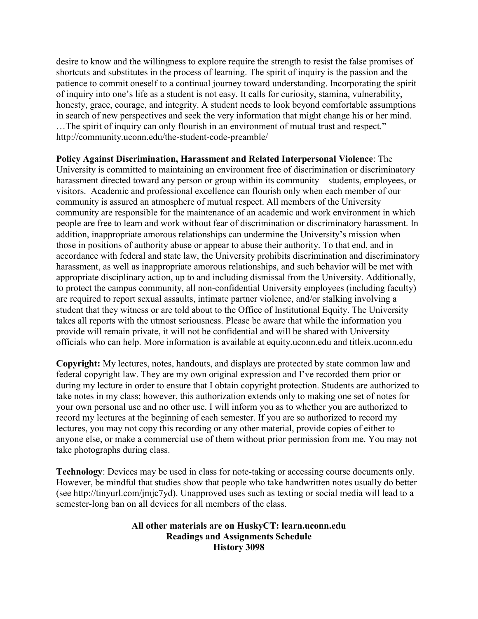desire to know and the willingness to explore require the strength to resist the false promises of shortcuts and substitutes in the process of learning. The spirit of inquiry is the passion and the patience to commit oneself to a continual journey toward understanding. Incorporating the spirit of inquiry into one's life as a student is not easy. It calls for curiosity, stamina, vulnerability, honesty, grace, courage, and integrity. A student needs to look beyond comfortable assumptions in search of new perspectives and seek the very information that might change his or her mind.

…The spirit of inquiry can only flourish in an environment of mutual trust and respect." http://community.uconn.edu/the-student-code-preamble/

**Policy Against Discrimination, Harassment and Related Interpersonal Violence**: The University is committed to maintaining an environment free of discrimination or discriminatory harassment directed toward any person or group within its community – students, employees, or visitors. Academic and professional excellence can flourish only when each member of our community is assured an atmosphere of mutual respect. All members of the University community are responsible for the maintenance of an academic and work environment in which people are free to learn and work without fear of discrimination or discriminatory harassment. In addition, inappropriate amorous relationships can undermine the University's mission when those in positions of authority abuse or appear to abuse their authority. To that end, and in accordance with federal and state law, the University prohibits discrimination and discriminatory harassment, as well as inappropriate amorous relationships, and such behavior will be met with appropriate disciplinary action, up to and including dismissal from the University. Additionally, to protect the campus community, all non-confidential University employees (including faculty) are required to report sexual assaults, intimate partner violence, and/or stalking involving a student that they witness or are told about to the Office of Institutional Equity. The University takes all reports with the utmost seriousness. Please be aware that while the information you provide will remain private, it will not be confidential and will be shared with University officials who can help. More information is available at equity.uconn.edu and titleix.uconn.edu

**Copyright:** My lectures, notes, handouts, and displays are protected by state common law and federal copyright law. They are my own original expression and I've recorded them prior or during my lecture in order to ensure that I obtain copyright protection. Students are authorized to take notes in my class; however, this authorization extends only to making one set of notes for your own personal use and no other use. I will inform you as to whether you are authorized to record my lectures at the beginning of each semester. If you are so authorized to record my lectures, you may not copy this recording or any other material, provide copies of either to anyone else, or make a commercial use of them without prior permission from me. You may not take photographs during class.

**Technology**: Devices may be used in class for note-taking or accessing course documents only. However, be mindful that studies show that people who take handwritten notes usually do better (see http://tinyurl.com/jmjc7yd). Unapproved uses such as texting or social media will lead to a semester-long ban on all devices for all members of the class.

### **All other materials are on HuskyCT: learn.uconn.edu Readings and Assignments Schedule History 3098**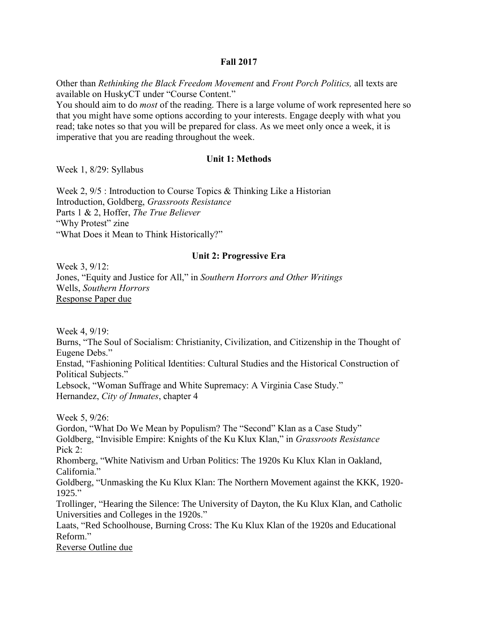#### **Fall 2017**

Other than *Rethinking the Black Freedom Movement* and *Front Porch Politics,* all texts are available on HuskyCT under "Course Content."

You should aim to do *most* of the reading. There is a large volume of work represented here so that you might have some options according to your interests. Engage deeply with what you read; take notes so that you will be prepared for class. As we meet only once a week, it is imperative that you are reading throughout the week.

### **Unit 1: Methods**

Week 1, 8/29: Syllabus

Week 2,  $9/5$ : Introduction to Course Topics & Thinking Like a Historian Introduction, Goldberg, *Grassroots Resistance* Parts 1 & 2, Hoffer, *The True Believer* "Why Protest" zine "What Does it Mean to Think Historically?"

#### **Unit 2: Progressive Era**

Week 3, 9/12: Jones, "Equity and Justice for All," in *Southern Horrors and Other Writings* Wells, *Southern Horrors* Response Paper due

Week 4, 9/19:

Burns, "The Soul of Socialism: Christianity, Civilization, and Citizenship in the Thought of Eugene Debs."

Enstad, "Fashioning Political Identities: Cultural Studies and the Historical Construction of Political Subjects."

Lebsock, "Woman Suffrage and White Supremacy: A Virginia Case Study." Hernandez, *City of Inmates*, chapter 4

Week 5, 9/26:

Gordon, "What Do We Mean by Populism? The "Second" Klan as a Case Study" Goldberg, "Invisible Empire: Knights of the Ku Klux Klan," in *Grassroots Resistance* Pick  $2^{\cdot}$ 

Rhomberg, "White Nativism and Urban Politics: The 1920s Ku Klux Klan in Oakland, California."

Goldberg, "Unmasking the Ku Klux Klan: The Northern Movement against the KKK, 1920- 1925."

Trollinger, "Hearing the Silence: The University of Dayton, the Ku Klux Klan, and Catholic Universities and Colleges in the 1920s."

Laats, "Red Schoolhouse, Burning Cross: The Ku Klux Klan of the 1920s and Educational Reform."

Reverse Outline due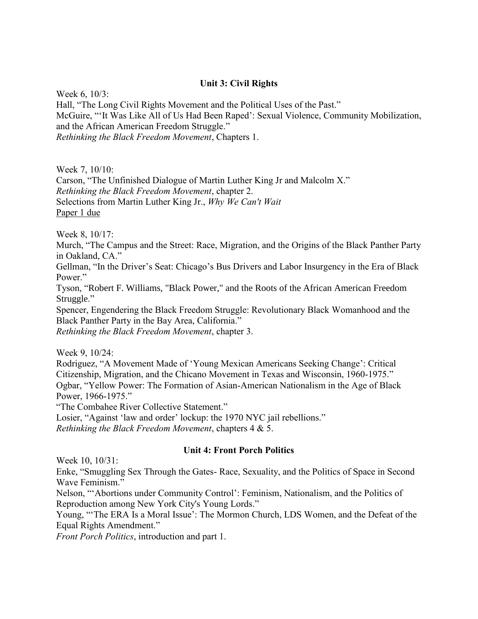### **Unit 3: Civil Rights**

Week 6, 10/3:

Hall, "The Long Civil Rights Movement and the Political Uses of the Past." McGuire, "'It Was Like All of Us Had Been Raped': Sexual Violence, Community Mobilization, and the African American Freedom Struggle." *Rethinking the Black Freedom Movement*, Chapters 1.

Week 7, 10/10:

Carson, "The Unfinished Dialogue of Martin Luther King Jr and Malcolm X." *Rethinking the Black Freedom Movement*, chapter 2. Selections from Martin Luther King Jr., *Why We Can't Wait* Paper 1 due

Week 8, 10/17:

Murch, "The Campus and the Street: Race, Migration, and the Origins of the Black Panther Party in Oakland, CA."

Gellman, "In the Driver's Seat: Chicago's Bus Drivers and Labor Insurgency in the Era of Black Power"

Tyson, "Robert F. Williams, "Black Power," and the Roots of the African American Freedom Struggle."

Spencer, Engendering the Black Freedom Struggle: Revolutionary Black Womanhood and the Black Panther Party in the Bay Area, California."

*Rethinking the Black Freedom Movement*, chapter 3.

Week 9, 10/24:

Rodriguez, "A Movement Made of 'Young Mexican Americans Seeking Change': Critical Citizenship, Migration, and the Chicano Movement in Texas and Wisconsin, 1960-1975." Ogbar, "Yellow Power: The Formation of Asian-American Nationalism in the Age of Black Power, 1966-1975."

"The Combahee River Collective Statement."

Losier, "Against 'law and order' lockup: the 1970 NYC jail rebellions." *Rethinking the Black Freedom Movement*, chapters 4 & 5.

#### **Unit 4: Front Porch Politics**

Week 10, 10/31:

Enke, "Smuggling Sex Through the Gates- Race, Sexuality, and the Politics of Space in Second Wave Feminism."

Nelson, "'Abortions under Community Control': Feminism, Nationalism, and the Politics of Reproduction among New York City's Young Lords."

Young, "'The ERA Is a Moral Issue': The Mormon Church, LDS Women, and the Defeat of the Equal Rights Amendment."

*Front Porch Politics*, introduction and part 1.